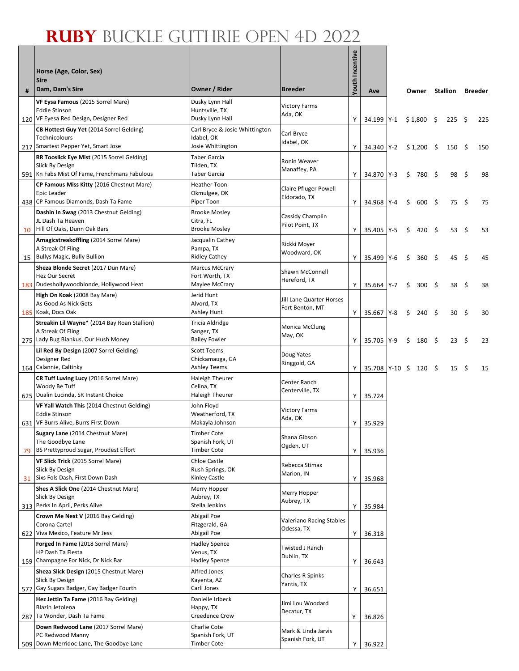|    | Horse (Age, Color, Sex)<br><b>Sire</b>                                                                                |                                                                   |                                              | <b>/outh Incentive</b> |                |         |    |                  |      |                  |      |         |
|----|-----------------------------------------------------------------------------------------------------------------------|-------------------------------------------------------------------|----------------------------------------------|------------------------|----------------|---------|----|------------------|------|------------------|------|---------|
| #  | Dam, Dam's Sire                                                                                                       | Owner / Rider                                                     | <b>Breeder</b>                               |                        | Ave            |         |    | Owner            |      | <b>Stallion</b>  |      | Breeder |
|    | VF Eysa Famous (2015 Sorrel Mare)                                                                                     | Dusky Lynn Hall                                                   | <b>Victory Farms</b>                         |                        |                |         |    |                  |      |                  |      |         |
|    | <b>Eddie Stinson</b><br>120 VF Eyesa Red Design, Designer Red                                                         | Huntsville, TX<br>Dusky Lynn Hall                                 | Ada, OK                                      | Y                      | 34.199 Y-1     |         |    | $$1,800$ \$      |      | 225S             |      | 225     |
|    | CB Hottest Guy Yet (2014 Sorrel Gelding)<br><b>Technicolours</b><br>217 Smartest Pepper Yet, Smart Jose               | Carl Bryce & Josie Whittington<br>Idabel, OK<br>Josie Whittington | Carl Bryce<br>Idabel, OK                     | Y                      | 34.340 Y-2     |         |    | $$1,200$ \$      |      | 150 <sub>5</sub> |      | 150     |
|    | <b>RR Tooslick Eye Mist (2015 Sorrel Gelding)</b><br>Slick By Design<br>591 Kn Fabs Mist Of Fame, Frenchmans Fabulous | <b>Taber Garcia</b><br>Tilden, TX<br>Taber Garcia                 | Ronin Weaver<br>Manaffey, PA                 | Y                      | 34.870 Y-3     |         | \$ | 780 \$           |      | 98 \$            |      | 98      |
|    | CP Famous Miss Kitty (2016 Chestnut Mare)<br>Epic Leader<br>438 CP Famous Diamonds, Dash Ta Fame                      | <b>Heather Toon</b><br>Okmulgee, OK<br>Piper Toon                 | <b>Claire Pfluger Powell</b><br>Eldorado, TX | Y                      | 34.968 Y-4     |         | Ŝ. | 600              | - \$ | 75\$             |      | 75      |
| 10 | Dashin In Swag (2013 Chestnut Gelding)<br>JL Dash Ta Heaven<br>Hill Of Oaks, Dunn Oak Bars                            | <b>Brooke Mosley</b><br>Citra, FL<br><b>Brooke Mosley</b>         | Cassidy Champlin<br>Pilot Point, TX          | Y                      | 35.405         | $Y-5$   | Ŝ. | 420 \$           |      | 53 \$            |      | 53      |
|    | Amagicstreakoffling (2014 Sorrel Mare)<br>A Streak Of Fling                                                           | Jacqualin Cathey<br>Pampa, TX                                     | Rickki Moyer                                 |                        |                |         |    |                  |      |                  |      |         |
| 15 | <b>Bullys Magic, Bully Bullion</b>                                                                                    | <b>Ridley Cathey</b>                                              | Woodward, OK                                 | Y                      | 35.499 Y-6     |         | \$ | 360 <sup>5</sup> |      | 45               | - \$ | 45      |
|    | Sheza Blonde Secret (2017 Dun Mare)<br>Hez Our Secret<br>183 Dudeshollywoodblonde, Hollywood Heat                     | <b>Marcus McCrary</b><br>Fort Worth, TX<br>Maylee McCrary         | Shawn McConnell<br>Hereford, TX              | Y                      | 35.664         | $Y - 7$ | Ŝ. | 300 <sup>5</sup> |      | 38               | - \$ | 38      |
|    | High On Koak (2008 Bay Mare)<br>As Good As Nick Gets                                                                  | Jerid Hunt<br>Alvord, TX                                          | Jill Lane Quarter Horses<br>Fort Benton, MT  |                        |                |         |    |                  |      |                  |      |         |
|    | 185 Koak, Docs Oak<br>Streakin Lil Wayne* (2014 Bay Roan Stallion)                                                    | Ashley Hunt<br><b>Tricia Aldridge</b>                             |                                              | Y                      | 35.667         | Y-8     | \$ | $240 \div$       |      | $30 \pm$         |      | 30      |
|    | A Streak Of Fling<br>275 Lady Bug Biankus, Our Hush Money                                                             | Sanger, TX<br><b>Bailey Fowler</b>                                | <b>Monica McClung</b><br>May, OK             | Y                      | 35.705 Y-9     |         | Ŝ. | $180 \quad$ \$   |      | $23 \quad$       |      | 23      |
|    | Lil Red By Design (2007 Sorrel Gelding)<br>Designer Red<br>164 Calannie, Caltinky                                     | <b>Scott Teems</b><br>Chickamauga, GA<br><b>Ashley Teems</b>      | Doug Yates<br>Ringgold, GA                   | Y                      | 35.708 Y-10 \$ |         |    | $120 \div$       |      | $15 \quad$       |      | 15      |
|    | CR Tuff Luving Lucy (2016 Sorrel Mare)                                                                                | Haleigh Theurer                                                   |                                              |                        |                |         |    |                  |      |                  |      |         |
|    | Woody Be Tuff<br>625 Dualin Lucinda, SR Instant Choice                                                                | Celina, TX<br><b>Haleigh Theurer</b>                              | Center Ranch<br>Centerville, TX              | Y                      | 35.724         |         |    |                  |      |                  |      |         |
|    | VF Yall Watch This (2014 Chestnut Gelding)<br><b>Eddie Stinson</b><br>631 VF Burrs Alive, Burrs First Down            | John Floyd<br>Weatherford, TX<br>Makayla Johnson                  | <b>Victory Farms</b><br>Ada, OK              | Y                      | 35.929         |         |    |                  |      |                  |      |         |
| 79 | Sugary Lane (2014 Chestnut Mare)<br>The Goodbye Lane<br>BS Prettyproud Sugar, Proudest Effort                         | Timber Cote<br>Spanish Fork, UT<br><b>Timber Cote</b>             | Shana Gibson<br>Ogden, UT                    | Υ                      | 35.936         |         |    |                  |      |                  |      |         |
| 31 | VF Slick Trick (2015 Sorrel Mare)<br>Slick By Design<br>Sixs Fols Dash, First Down Dash                               | Chloe Castle<br>Rush Springs, OK<br>Kinley Castle                 | Rebecca Stimax<br>Marion, IN                 | Υ                      | 35.968         |         |    |                  |      |                  |      |         |
|    | Shes A Slick One (2014 Chestnut Mare)<br>Slick By Design                                                              | Merry Hopper<br>Aubrey, TX                                        | Merry Hopper<br>Aubrey, TX                   |                        |                |         |    |                  |      |                  |      |         |
|    | 313 Perks In April, Perks Alive                                                                                       | Stella Jenkins                                                    |                                              | Υ                      | 35.984         |         |    |                  |      |                  |      |         |
|    | Crown Me Next V (2016 Bay Gelding)<br>Corona Cartel<br>622 Viva Mexico, Feature Mr Jess                               | Abigail Poe<br>Fitzgerald, GA<br>Abigail Poe                      | Valeriano Racing Stables<br>Odessa, TX       | Υ                      | 36.318         |         |    |                  |      |                  |      |         |
|    | Forged In Fame (2018 Sorrel Mare)<br>HP Dash Ta Fiesta                                                                | <b>Hadley Spence</b><br>Venus, TX                                 | Twisted J Ranch<br>Dublin, TX                |                        |                |         |    |                  |      |                  |      |         |
|    | 159 Champagne For Nick, Dr Nick Bar                                                                                   | <b>Hadley Spence</b>                                              |                                              | Υ                      | 36.643         |         |    |                  |      |                  |      |         |
|    | Sheza Slick Design (2015 Chestnut Mare)<br>Slick By Design<br>577 Gay Sugars Badger, Gay Badger Fourth                | Alfred Jones<br>Kayenta, AZ<br>Carli Jones                        | Charles R Spinks<br>Yantis, TX               | Υ                      | 36.651         |         |    |                  |      |                  |      |         |
|    | Hez Jettin Ta Fame (2016 Bay Gelding)<br>Blazin Jetolena                                                              | Danielle Irlbeck<br>Happy, TX                                     | Jimi Lou Woodard<br>Decatur, TX              |                        |                |         |    |                  |      |                  |      |         |
|    | 287 Ta Wonder, Dash Ta Fame                                                                                           | Creedence Crow                                                    |                                              | Y                      | 36.826         |         |    |                  |      |                  |      |         |
|    | Down Redwood Lane (2017 Sorrel Mare)<br>PC Redwood Manny<br>509 Down Merridoc Lane, The Goodbye Lane                  | <b>Charlie Cote</b><br>Spanish Fork, UT<br><b>Timber Cote</b>     | Mark & Linda Jarvis<br>Spanish Fork, UT      | Υ                      | 36.922         |         |    |                  |      |                  |      |         |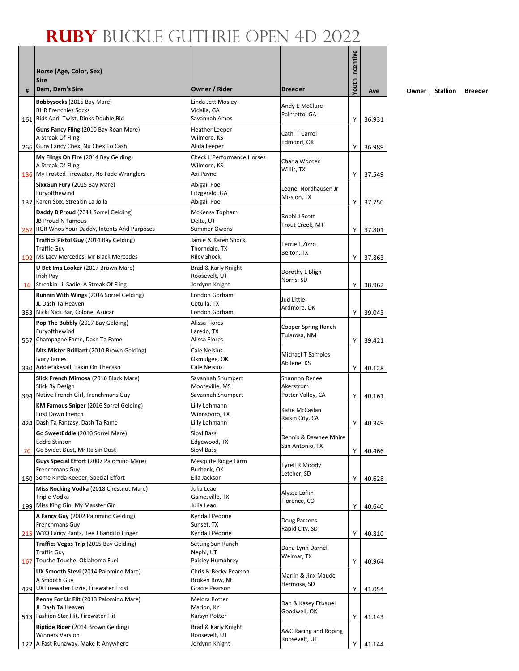| #  | Horse (Age, Color, Sex)<br><b>Sire</b><br>Dam, Dam's Sire                                                 | Owner / Rider                                                 | <b>Breeder</b>                                  | <b>Youth Incentive</b> | Ave    |
|----|-----------------------------------------------------------------------------------------------------------|---------------------------------------------------------------|-------------------------------------------------|------------------------|--------|
|    | Bobbysocks (2015 Bay Mare)<br><b>BHR Frenchies Socks</b><br>161 Bids April Twist, Dinks Double Bid        | Linda Jett Mosley<br>Vidalia, GA<br>Savannah Amos             | Andy E McClure<br>Palmetto, GA                  | Y                      | 36.931 |
|    | Guns Fancy Fling (2010 Bay Roan Mare)<br>A Streak Of Fling<br>266 Guns Fancy Chex, Nu Chex To Cash        | <b>Heather Leeper</b><br>Wilmore, KS<br>Alida Leeper          | Cathi T Carrol<br>Edmond, OK                    | Y                      | 36.989 |
|    | My Flings On Fire (2014 Bay Gelding)<br>A Streak Of Fling<br>136 My Frosted Firewater, No Fade Wranglers  | <b>Check L Performance Horses</b><br>Wilmore, KS<br>Axi Payne | Charla Wooten<br>Willis, TX                     | Υ                      | 37.549 |
|    | SixxGun Fury (2015 Bay Mare)<br>Furyofthewind<br>137 Karen Sixx, Streakin La Jolla                        | Abigail Poe<br>Fitzgerald, GA<br>Abigail Poe                  | Leonel Nordhausen Jr<br>Mission, TX             | Υ                      | 37.750 |
|    | Daddy B Proud (2011 Sorrel Gelding)<br>JB Proud N Famous<br>262 RGR Whos Your Daddy, Intents And Purposes | McKensy Topham<br>Delta, UT<br><b>Summer Owens</b>            | Bobbi J Scott<br>Trout Creek, MT                | Υ                      | 37.801 |
|    | Traffics Pistol Guy (2014 Bay Gelding)<br><b>Traffic Guy</b><br>102 Ms Lacy Mercedes, Mr Black Mercedes   | Jamie & Karen Shock<br>Thorndale, TX<br><b>Riley Shock</b>    | Terrie F Zizzo<br>Belton, TX                    | Υ                      | 37.863 |
|    | U Bet Ima Looker (2017 Brown Mare)<br>Irish Pay<br>16 Streakin Lil Sadie, A Streak Of Fling               | Brad & Karly Knight<br>Roosevelt, UT<br>Jordynn Knight        | Dorothy L Bligh<br>Norris, SD                   | Υ                      | 38.962 |
|    | Runnin With Wings (2016 Sorrel Gelding)<br>JL Dash Ta Heaven<br>353 Nicki Nick Bar, Colonel Azucar        | London Gorham<br>Cotulla, TX<br>London Gorham                 | Jud Little<br>Ardmore, OK                       | Υ                      | 39.043 |
|    | Pop The Bubbly (2017 Bay Gelding)<br>Furyofthewind<br>557 Champagne Fame, Dash Ta Fame                    | Alissa Flores<br>Laredo, TX<br>Alissa Flores                  | Copper Spring Ranch<br>Tularosa, NM             | Y                      | 39.421 |
|    | Mts Mister Brilliant (2010 Brown Gelding)<br>Ivory James<br>330 Addietakesall, Takin On Thecash           | <b>Cale Neisius</b><br>Okmulgee, OK<br><b>Cale Neisius</b>    | Michael T Samples<br>Abilene, KS                | Υ                      | 40.128 |
|    | Slick French Mimosa (2016 Black Mare)<br>Slick By Design<br>394 Native French Girl, Frenchmans Guy        | Savannah Shumpert<br>Mooreville, MS<br>Savannah Shumpert      | Shannon Renee<br>Akerstrom<br>Potter Valley, CA | Υ                      | 40.161 |
|    | <b>KM Famous Sniper</b> (2016 Sorrel Gelding)<br>First Down French<br>424   Dash Ta Fantasy, Dash Ta Fame | Lilly Lohmann<br>Winnsboro, TX<br>Lilly Lohmann               | Katie McCaslan<br>Raisin City, CA               | Υ                      | 40.349 |
| 70 | Go SweetEddie (2010 Sorrel Mare)<br><b>Eddie Stinson</b><br>Go Sweet Dust, Mr Raisin Dust                 | Sibyl Bass<br>Edgewood, TX<br>Sibyl Bass                      | Dennis & Dawnee Mhire<br>San Antonio, TX        | Υ                      | 40.466 |
|    | Guys Special Effort (2007 Palomino Mare)<br>Frenchmans Guy<br>160 Some Kinda Keeper, Special Effort       | Mesquite Ridge Farm<br>Burbank, OK<br>Ella Jackson            | Tyrell R Moody<br>Letcher, SD                   | Υ                      | 40.628 |
|    | Miss Rocking Vodka (2018 Chestnut Mare)<br>Triple Vodka<br>199 Miss King Gin, My Masster Gin              | Julia Leao<br>Gainesville, TX<br>Julia Leao                   | Alyssa Loflin<br>Florence, CO                   | Υ                      | 40.640 |
|    | A Fancy Guy (2002 Palomino Gelding)<br>Frenchmans Guy<br>215 WYO Fancy Pants, Tee J Bandito Finger        | Kyndall Pedone<br>Sunset, TX<br>Kyndall Pedone                | Doug Parsons<br>Rapid City, SD                  | Υ                      | 40.810 |
|    | Traffics Vegas Trip (2015 Bay Gelding)<br><b>Traffic Guy</b><br>167 Touche Touche, Oklahoma Fuel          | Setting Sun Ranch<br>Nephi, UT<br>Paisley Humphrey            | Dana Lynn Darnell<br>Weimar, TX                 | Υ                      | 40.964 |
|    | UX Smooth Stevi (2014 Palomino Mare)<br>A Smooth Guy<br>429 UX Firewater Lizzie, Firewater Frost          | Chris & Becky Pearson<br>Broken Bow, NE<br>Gracie Pearson     | Marlin & Jinx Maude<br>Hermosa, SD              | Υ                      | 41.054 |
|    | Penny For Ur Flit (2013 Palomino Mare)<br>JL Dash Ta Heaven<br>513 Fashion Star Flit, Firewater Flit      | Melora Potter<br>Marion, KY<br>Karsyn Potter                  | Dan & Kasey Etbauer<br>Goodwell, OK             | Υ                      | 41.143 |
|    | Riptide Rider (2014 Brown Gelding)<br><b>Winners Version</b><br>122 A Fast Runaway, Make It Anywhere      | Brad & Karly Knight<br>Roosevelt, UT<br>Jordynn Knight        | A&C Racing and Roping<br>Roosevelt, UT          | Υ                      | 41.144 |

**Ave Owner Stallion Breeder**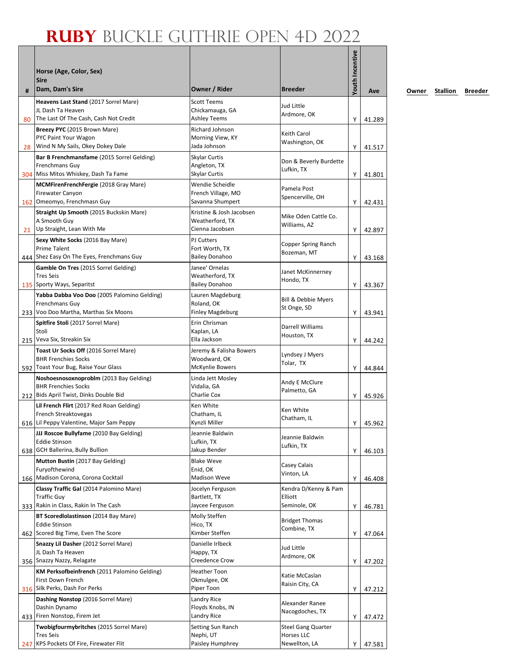| #   | Horse (Age, Color, Sex)<br><b>Sire</b><br>Dam, Dam's Sire                                                       | Owner / Rider                                                     | <b>Breeder</b>                                                  | Youth Incentive | Ave              |
|-----|-----------------------------------------------------------------------------------------------------------------|-------------------------------------------------------------------|-----------------------------------------------------------------|-----------------|------------------|
|     | Heavens Last Stand (2017 Sorrel Mare)<br>JL Dash Ta Heaven                                                      | <b>Scott Teems</b><br>Chickamauga, GA                             | Jud Little<br>Ardmore, OK                                       |                 |                  |
| 80  | The Last Of The Cash, Cash Not Credit<br>Breezy PYC (2015 Brown Mare)<br>PYC Paint Your Wagon                   | <b>Ashley Teems</b><br>Richard Johnson<br>Morning View, KY        | Keith Carol<br>Washington, OK                                   | Υ               | 41.289           |
| 28  | Wind N My Sails, Okey Dokey Dale<br>Bar B Frenchmansfame (2015 Sorrel Gelding)<br>Frenchmans Guy                | Jada Johnson<br>Skylar Curtis<br>Angleton, TX                     | Don & Beverly Burdette<br>Lufkin, TX                            | Υ               | 41.517           |
|     | 304 Miss Mitos Whiskey, Dash Ta Fame<br>MCMFirenFrenchFergie (2018 Gray Mare)<br><b>Firewater Canyon</b>        | Skylar Curtis<br>Wendie Scheidle<br>French Village, MO            | Pamela Post<br>Spencerville, OH                                 | Υ               | 41.801           |
|     | 162 Omeomyo, Frenchmasn Guy<br>Straight Up Smooth (2015 Buckskin Mare)<br>A Smooth Guy                          | Savanna Shumpert<br>Kristine & Josh Jacobsen<br>Weatherford, TX   | Mike Oden Cattle Co.                                            | Y               | 42.431           |
| 21  | Up Straight, Lean With Me<br>Sexy White Socks (2016 Bay Mare)<br><b>Prime Talent</b>                            | Cienna Jacobsen<br><b>PJ</b> Cutters<br>Fort Worth, TX            | Williams, AZ<br>Copper Spring Ranch                             | Y               | 42.897           |
|     | 444 Shez Easy On The Eyes, Frenchmans Guy<br>Gamble On Tres (2015 Sorrel Gelding)                               | <b>Bailey Donahoo</b><br>Janee' Ornelas                           | Bozeman, MT<br>Janet McKinnerney                                | Y               | 43.168           |
|     | <b>Tres Seis</b><br>135 Sporty Ways, Separitst<br>Yabba Dabba Voo Doo (2005 Palomino Gelding)                   | Weatherford, TX<br><b>Bailey Donahoo</b><br>Lauren Magdeburg      | Hondo, TX<br>Bill & Debbie Myers                                | Υ               | 43.367           |
|     | Frenchmans Guy<br>233 Voo Doo Martha, Marthas Six Moons<br><b>Spitfire Stoli</b> (2017 Sorrel Mare)             | Roland, OK<br><b>Finley Magdeburg</b><br>Erin Chrisman            | St Onge, SD                                                     | Υ               | 43.941           |
|     | Stoli<br>215 Veva Six, Streakin Six                                                                             | Kaplan, LA<br>Ella Jackson                                        | Darrell Williams<br>Houston, TX                                 | Y               | 44.242           |
|     | Toast Ur Socks Off (2016 Sorrel Mare)<br><b>BHR Frenchies Socks</b><br>592 Toast Your Bug, Raise Your Glass     | Jeremy & Falisha Bowers<br>Woodward, OK<br><b>McKynlie Bowers</b> | Lyndsey J Myers<br>Tolar, TX                                    | Υ               | 44.844           |
|     | Noshoesnosoxnoproblm (2013 Bay Gelding)<br><b>BHR Frenchies Socks</b><br>212 Bids April Twist, Dinks Double Bid | Linda Jett Mosley<br>Vidalia, GA<br>Charlie Cox                   | Andy E McClure<br>Palmetto, GA                                  | Υ               | 45.926           |
|     | Lil French Flirt (2017 Red Roan Gelding)<br>French Streaktovegas<br>616 Lil Peppy Valentine, Major Sam Peppy    | Ken White<br>Chatham, IL<br>Kynzli Miller                         | Ken White<br>Chatham, IL                                        | Y               | 45.962           |
| 638 | JJJ Roscoe Bullyfame (2010 Bay Gelding)<br><b>Eddie Stinson</b><br><b>GCH Ballerina, Bully Bullion</b>          | Jeannie Baldwin<br>Lufkin, TX<br>Jakup Bender                     | Jeannie Baldwin<br>Lufkin, TX                                   | Υ               | 46.103           |
|     | Mutton Bustin (2017 Bay Gelding)<br>Furyofthewind<br>166 Madison Corona, Corona Cocktail                        | <b>Blake Weve</b><br>Enid, OK<br><b>Madison Weve</b>              | Casey Calais<br>Vinton, LA                                      | Υ               | 46.408           |
|     | Classy Traffic Gal (2014 Palomino Mare)<br><b>Traffic Guy</b><br>333 Rakin in Class, Rakin In The Cash          | Jocelyn Ferguson<br>Bartlett, TX<br>Jaycee Ferguson               | Kendra D/Kenny & Pam<br>Elliott<br>Seminole, OK                 | Υ               | 46.781           |
|     | BT Scoredlolastinson (2014 Bay Mare)<br><b>Eddie Stinson</b><br>462 Scored Big Time, Even The Score             | Molly Steffen<br>Hico, TX<br>Kimber Steffen                       | <b>Bridget Thomas</b><br>Combine, TX                            |                 |                  |
|     | Snazzy Lil Dasher (2012 Sorrel Mare)<br>JL Dash Ta Heaven<br>356 Snazzy Nazzy, Relagate                         | Danielle Irlbeck<br>Happy, TX<br>Creedence Crow                   | Jud Little<br>Ardmore, OK                                       | Υ<br>Υ          | 47.064<br>47.202 |
|     | KM Perksofbeinfrench (2011 Palomino Gelding)<br>First Down French<br>316 Silk Perks, Dash For Perks             | <b>Heather Toon</b><br>Okmulgee, OK<br>Piper Toon                 | Katie McCaslan<br>Raisin City, CA                               | Υ               | 47.212           |
|     | Dashing Nonstop (2016 Sorrel Mare)<br>Dashin Dynamo<br>433 Firen Nonstop, Firem Jet                             | Landry Rice<br>Floyds Knobs, IN                                   | Alexander Ranee<br>Nacogdoches, TX                              |                 |                  |
| 247 | Twobigfourmybritches (2015 Sorrel Mare)<br><b>Tres Seis</b><br>KPS Pockets Of Fire, Firewater Flit              | Landry Rice<br>Setting Sun Ranch<br>Nephi, UT<br>Paisley Humphrey | <b>Steel Gang Quarter</b><br><b>Horses LLC</b><br>Newellton, LA | Υ<br>Y          | 47.472<br>47.581 |

**Ave Owner Stallion Breeder**